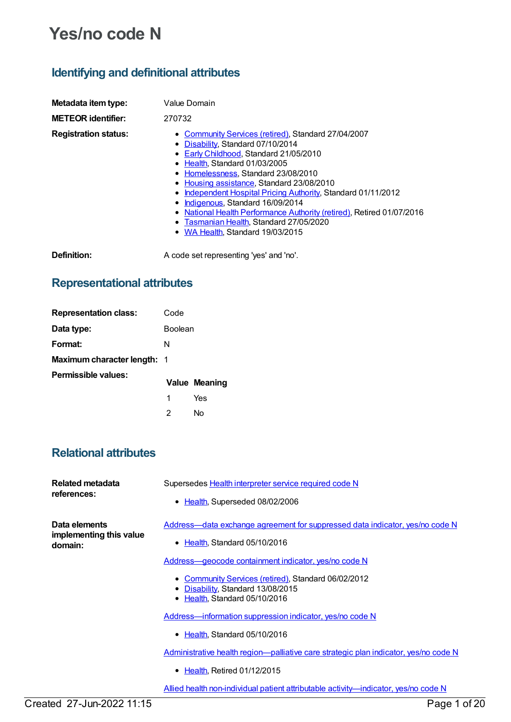# **Yes/no code N**

### **Identifying and definitional attributes**

| Metadata item type:         | Value Domain                                                                                                                                                                                                                                                                                                                                                                                                                                                                                                                     |
|-----------------------------|----------------------------------------------------------------------------------------------------------------------------------------------------------------------------------------------------------------------------------------------------------------------------------------------------------------------------------------------------------------------------------------------------------------------------------------------------------------------------------------------------------------------------------|
| <b>METEOR identifier:</b>   | 270732                                                                                                                                                                                                                                                                                                                                                                                                                                                                                                                           |
| <b>Registration status:</b> | • Community Services (retired), Standard 27/04/2007<br>Disability, Standard 07/10/2014<br>٠<br>• Early Childhood, Standard 21/05/2010<br>• Health, Standard 01/03/2005<br>Homelessness, Standard 23/08/2010<br>٠<br>Housing assistance, Standard 23/08/2010<br>Independent Hospital Pricing Authority, Standard 01/11/2012<br>٠<br>Indigenous, Standard 16/09/2014<br>٠<br>National Health Performance Authority (retired), Retired 01/07/2016<br>٠<br>• Tasmanian Health, Standard 27/05/2020<br>WA Health, Standard 19/03/2015 |
| Definition:                 | A code set representing 'yes' and 'no'.                                                                                                                                                                                                                                                                                                                                                                                                                                                                                          |

## **Representational attributes**

| <b>Representation class:</b>       | Code           |                      |
|------------------------------------|----------------|----------------------|
| Data type:                         | <b>Boolean</b> |                      |
| Format:                            | N              |                      |
| <b>Maximum character length: 1</b> |                |                      |
| Permissible values:                |                | <b>Value Meaning</b> |
|                                    | 1              | Yes                  |
|                                    | 2              | N٥                   |

### **Relational attributes**

| Related metadata<br>references:                     | Supersedes Health interpreter service required code N<br>• Health, Superseded 08/02/2006                                                                                                 |
|-----------------------------------------------------|------------------------------------------------------------------------------------------------------------------------------------------------------------------------------------------|
| Data elements<br>implementing this value<br>domain: | Address—data exchange agreement for suppressed data indicator, yes/no code N<br>• Health, Standard 05/10/2016                                                                            |
|                                                     | <u>Address—geocode containment indicator, yes/no code N</u><br>• Community Services (retired), Standard 06/02/2012<br>• Disability, Standard 13/08/2015<br>• Health, Standard 05/10/2016 |
|                                                     | Address-information suppression indicator, yes/no code N<br>• Health, Standard 05/10/2016                                                                                                |
|                                                     | Administrative health region—palliative care strategic plan indicator, yes/no code N                                                                                                     |
|                                                     | $\bullet$ Health, Retired 01/12/2015                                                                                                                                                     |
|                                                     | <u>Allied health non-individual patient attributable activity—indicator, yes/no code N</u>                                                                                               |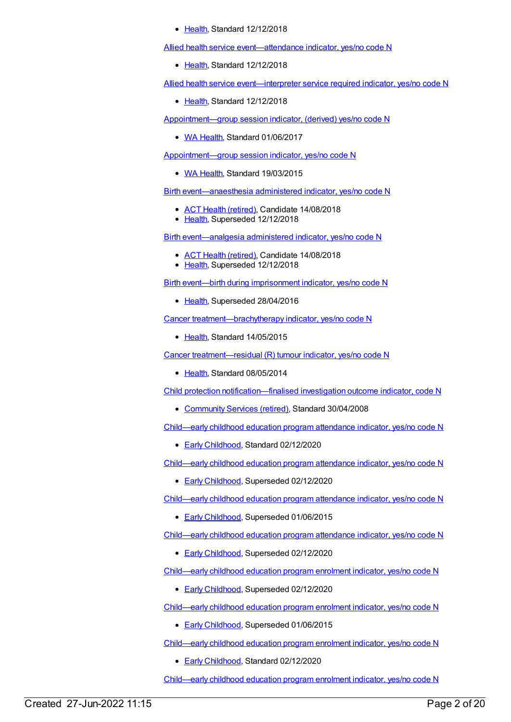• [Health](https://meteor.aihw.gov.au/RegistrationAuthority/12), Standard 12/12/2018

Allied health service [event—attendance](https://meteor.aihw.gov.au/content/708093) indicator, yes/no code N

• [Health](https://meteor.aihw.gov.au/RegistrationAuthority/12), Standard 12/12/2018

Allied health service [event—interpreter](https://meteor.aihw.gov.au/content/705810) service required indicator, yes/no code N

[Health](https://meteor.aihw.gov.au/RegistrationAuthority/12), Standard 12/12/2018

[Appointment—group](https://meteor.aihw.gov.au/content/606299) session indicator, (derived) yes/no code N

• WA [Health](https://meteor.aihw.gov.au/RegistrationAuthority/2), Standard 01/06/2017

[Appointment—group](https://meteor.aihw.gov.au/content/571127) session indicator, yes/no code N

• WA [Health](https://meteor.aihw.gov.au/RegistrationAuthority/2), Standard 19/03/2015

Birth [event—anaesthesia](https://meteor.aihw.gov.au/content/495466) administered indicator, yes/no code N

- ACT Health [\(retired\)](https://meteor.aihw.gov.au/RegistrationAuthority/9), Candidate 14/08/2018
- [Health](https://meteor.aihw.gov.au/RegistrationAuthority/12), Superseded 12/12/2018

Birth [event—analgesia](https://meteor.aihw.gov.au/content/495381) administered indicator, yes/no code N

- ACT Health [\(retired\)](https://meteor.aihw.gov.au/RegistrationAuthority/9), Candidate 14/08/2018
- [Health](https://meteor.aihw.gov.au/RegistrationAuthority/12), Superseded 12/12/2018

Birth event—birth during [imprisonment](https://meteor.aihw.gov.au/content/483627) indicator, yes/no code N

• [Health](https://meteor.aihw.gov.au/RegistrationAuthority/12), Superseded 28/04/2016

Cancer [treatment—brachytherapy](https://meteor.aihw.gov.au/content/496349) indicator, yes/no code N

• [Health](https://meteor.aihw.gov.au/RegistrationAuthority/12), Standard 14/05/2015

Cancer [treatment—residual](https://meteor.aihw.gov.au/content/430267) (R) tumour indicator, yes/no code N

• [Health](https://meteor.aihw.gov.au/RegistrationAuthority/12), Standard 08/05/2014

Child protection [notification—finalised](https://meteor.aihw.gov.au/content/367312) investigation outcome indicator, code N

- [Community](https://meteor.aihw.gov.au/RegistrationAuthority/1) Services (retired), Standard 30/04/2008
- [Child—early](https://meteor.aihw.gov.au/content/731206) childhood education program attendance indicator, yes/no code N
	- Early [Childhood](https://meteor.aihw.gov.au/RegistrationAuthority/13), Standard 02/12/2020

[Child—early](https://meteor.aihw.gov.au/content/731349) childhood education program attendance indicator, yes/no code N

• Early [Childhood](https://meteor.aihw.gov.au/RegistrationAuthority/13), Superseded 02/12/2020

[Child—early](https://meteor.aihw.gov.au/content/557001) childhood education program attendance indicator, yes/no code N

**Early [Childhood](https://meteor.aihw.gov.au/RegistrationAuthority/13), Superseded 01/06/2015** 

[Child—early](https://meteor.aihw.gov.au/content/602298) childhood education program attendance indicator, yes/no code N

**Early [Childhood](https://meteor.aihw.gov.au/RegistrationAuthority/13), Superseded 02/12/2020** 

[Child—early](https://meteor.aihw.gov.au/content/602301) childhood education program enrolment indicator, yes/no code N

- **Early [Childhood](https://meteor.aihw.gov.au/RegistrationAuthority/13), Superseded 02/12/2020**
- [Child—early](https://meteor.aihw.gov.au/content/557024) childhood education program enrolment indicator, yes/no code N
	- **Early [Childhood](https://meteor.aihw.gov.au/RegistrationAuthority/13), Superseded 01/06/2015**

[Child—early](https://meteor.aihw.gov.au/content/731208) childhood education program enrolment indicator, yes/no code N

Early [Childhood](https://meteor.aihw.gov.au/RegistrationAuthority/13), Standard 02/12/2020

[Child—early](https://meteor.aihw.gov.au/content/731353) childhood education program enrolment indicator, yes/no code N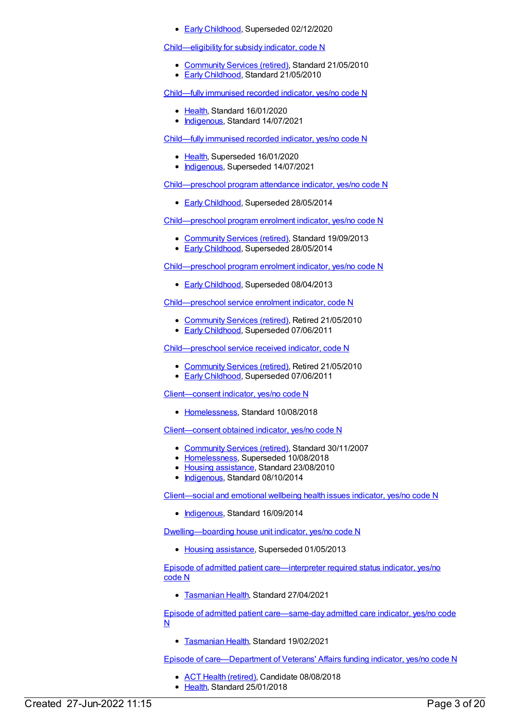**Early [Childhood](https://meteor.aihw.gov.au/RegistrationAuthority/13), Superseded 02/12/2020** 

### [Child—eligibility](https://meteor.aihw.gov.au/content/401343) for subsidy indicator, code N

- [Community](https://meteor.aihw.gov.au/RegistrationAuthority/1) Services (retired), Standard 21/05/2010
- **Early [Childhood](https://meteor.aihw.gov.au/RegistrationAuthority/13), Standard 21/05/2010**

[Child—fully](https://meteor.aihw.gov.au/content/720830) immunised recorded indicator, yes/no code N

- [Health](https://meteor.aihw.gov.au/RegistrationAuthority/12), Standard 16/01/2020
- [Indigenous](https://meteor.aihw.gov.au/RegistrationAuthority/6), Standard 14/07/2021

[Child—fully](https://meteor.aihw.gov.au/content/457664) immunised recorded indicator, yes/no code N

- [Health](https://meteor.aihw.gov.au/RegistrationAuthority/12), Superseded 16/01/2020
- [Indigenous](https://meteor.aihw.gov.au/RegistrationAuthority/6), Superseded 14/07/2021

[Child—preschool](https://meteor.aihw.gov.au/content/436120) program attendance indicator, yes/no code N

**Early [Childhood](https://meteor.aihw.gov.au/RegistrationAuthority/13), Superseded 28/05/2014** 

[Child—preschool](https://meteor.aihw.gov.au/content/506727) program enrolment indicator, yes/no code N

- [Community](https://meteor.aihw.gov.au/RegistrationAuthority/1) Services (retired), Standard 19/09/2013
- Early [Childhood](https://meteor.aihw.gov.au/RegistrationAuthority/13), Superseded 28/05/2014

[Child—preschool](https://meteor.aihw.gov.au/content/436126) program enrolment indicator, yes/no code N

**Early [Childhood](https://meteor.aihw.gov.au/RegistrationAuthority/13), Superseded 08/04/2013** 

[Child—preschool](https://meteor.aihw.gov.au/content/387977) service enrolment indicator, code N

- [Community](https://meteor.aihw.gov.au/RegistrationAuthority/1) Services (retired), Retired 21/05/2010
- Early [Childhood](https://meteor.aihw.gov.au/RegistrationAuthority/13), Superseded 07/06/2011

[Child—preschool](https://meteor.aihw.gov.au/content/357010) service received indicator, code N

- [Community](https://meteor.aihw.gov.au/RegistrationAuthority/1) Services (retired), Retired 21/05/2010
- Early [Childhood](https://meteor.aihw.gov.au/RegistrationAuthority/13), Superseded 07/06/2011

[Client—consent](https://meteor.aihw.gov.au/content/689402) indicator, yes/no code N

• [Homelessness](https://meteor.aihw.gov.au/RegistrationAuthority/14), Standard 10/08/2018

[Client—consent](https://meteor.aihw.gov.au/content/338737) obtained indicator, yes/no code N

- [Community](https://meteor.aihw.gov.au/RegistrationAuthority/1) Services (retired), Standard 30/11/2007
- [Homelessness](https://meteor.aihw.gov.au/RegistrationAuthority/14), Superseded 10/08/2018
- Housing [assistance](https://meteor.aihw.gov.au/RegistrationAuthority/11), Standard 23/08/2010
- [Indigenous](https://meteor.aihw.gov.au/RegistrationAuthority/6), Standard 08/10/2014

[Client—social](https://meteor.aihw.gov.au/content/567394) and emotional wellbeing health issues indicator, yes/no code N

• [Indigenous](https://meteor.aihw.gov.au/RegistrationAuthority/6), Standard 16/09/2014

[Dwelling—boarding](https://meteor.aihw.gov.au/content/464180) house unit indicator, yes/no code N

• Housing [assistance](https://meteor.aihw.gov.au/RegistrationAuthority/11), Superseded 01/05/2013

Episode of admitted patient [care—interpreter](https://meteor.aihw.gov.au/content/741142) required status indicator, yes/no code N

**[Tasmanian](https://meteor.aihw.gov.au/RegistrationAuthority/15) Health, Standard 27/04/2021** 

Episode of admitted patient [care—same-day](https://meteor.aihw.gov.au/content/447018) admitted care indicator, yes/no code N

**[Tasmanian](https://meteor.aihw.gov.au/RegistrationAuthority/15) Health, Standard 19/02/2021** 

Episode of [care—Department](https://meteor.aihw.gov.au/content/644877) of Veterans' Affairs funding indicator, yes/no code N

- ACT Health [\(retired\)](https://meteor.aihw.gov.au/RegistrationAuthority/9), Candidate 08/08/2018
- [Health](https://meteor.aihw.gov.au/RegistrationAuthority/12), Standard 25/01/2018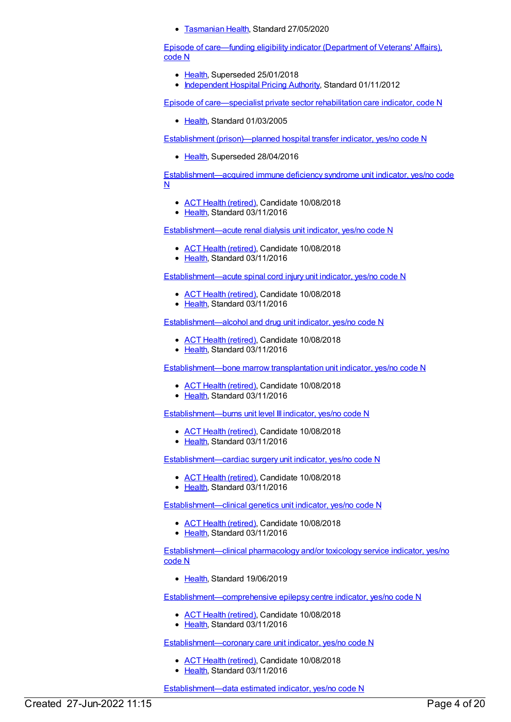**• [Tasmanian](https://meteor.aihw.gov.au/RegistrationAuthority/15) Health, Standard 27/05/2020** 

Episode of [care—funding](https://meteor.aihw.gov.au/content/270092) eligibility indicator (Department of Veterans' Affairs), code N

- [Health](https://meteor.aihw.gov.au/RegistrationAuthority/12), Superseded 25/01/2018
- [Independent](https://meteor.aihw.gov.au/RegistrationAuthority/3) Hospital Pricing Authority, Standard 01/11/2012

Episode of [care—specialist](https://meteor.aihw.gov.au/content/270397) private sector rehabilitation care indicator, code N

Elealth, Standard 01/03/2005

Establishment [\(prison\)—planned](https://meteor.aihw.gov.au/content/402779) hospital transfer indicator, yes/no code N

• [Health](https://meteor.aihw.gov.au/RegistrationAuthority/12), Superseded 28/04/2016

[Establishment—acquired](https://meteor.aihw.gov.au/content/619614) immune deficiency syndrome unit indicator, yes/no code N

- ACT Health [\(retired\)](https://meteor.aihw.gov.au/RegistrationAuthority/9), Candidate 10/08/2018
- [Health](https://meteor.aihw.gov.au/RegistrationAuthority/12), Standard 03/11/2016

[Establishment—acute](https://meteor.aihw.gov.au/content/619627) renal dialysis unit indicator, yes/no code N

- ACT Health [\(retired\)](https://meteor.aihw.gov.au/RegistrationAuthority/9), Candidate 10/08/2018
- Elealth, Standard 03/11/2016

[Establishment—acute](https://meteor.aihw.gov.au/content/619640) spinal cord injury unit indicator, yes/no code N

- ACT Health [\(retired\)](https://meteor.aihw.gov.au/RegistrationAuthority/9), Candidate 10/08/2018
- [Health](https://meteor.aihw.gov.au/RegistrationAuthority/12), Standard 03/11/2016

[Establishment—alcohol](https://meteor.aihw.gov.au/content/619655) and drug unit indicator, yes/no code N

- ACT Health [\(retired\)](https://meteor.aihw.gov.au/RegistrationAuthority/9), Candidate 10/08/2018
- [Health](https://meteor.aihw.gov.au/RegistrationAuthority/12), Standard 03/11/2016

[Establishment—bone](https://meteor.aihw.gov.au/content/619693) marrow transplantation unit indicator, yes/no code N

- ACT Health [\(retired\)](https://meteor.aihw.gov.au/RegistrationAuthority/9), Candidate 10/08/2018
- [Health](https://meteor.aihw.gov.au/RegistrationAuthority/12), Standard 03/11/2016

[Establishment—burns](https://meteor.aihw.gov.au/content/619702) unit level III indicator, yes/no code N

- ACT Health [\(retired\)](https://meteor.aihw.gov.au/RegistrationAuthority/9), Candidate 10/08/2018
- Elealth, Standard 03/11/2016

[Establishment—cardiac](https://meteor.aihw.gov.au/content/619713) surgery unit indicator, yes/no code N

- ACT Health [\(retired\)](https://meteor.aihw.gov.au/RegistrationAuthority/9), Candidate 10/08/2018
- [Health](https://meteor.aihw.gov.au/RegistrationAuthority/12), Standard 03/11/2016

[Establishment—clinical](https://meteor.aihw.gov.au/content/619723) genetics unit indicator, yes/no code N

- ACT Health [\(retired\)](https://meteor.aihw.gov.au/RegistrationAuthority/9), Candidate 10/08/2018
- [Health](https://meteor.aihw.gov.au/RegistrationAuthority/12), Standard 03/11/2016

[Establishment—clinical](https://meteor.aihw.gov.au/content/715743) pharmacology and/or toxicology service indicator, yes/no code N

• [Health](https://meteor.aihw.gov.au/RegistrationAuthority/12), Standard 19/06/2019

[Establishment—comprehensive](https://meteor.aihw.gov.au/content/619743) epilepsy centre indicator, yes/no code N

- ACT Health [\(retired\)](https://meteor.aihw.gov.au/RegistrationAuthority/9), Candidate 10/08/2018
- [Health](https://meteor.aihw.gov.au/RegistrationAuthority/12), Standard 03/11/2016

[Establishment—coronary](https://meteor.aihw.gov.au/content/619758) care unit indicator, yes/no code N

- ACT Health [\(retired\)](https://meteor.aihw.gov.au/RegistrationAuthority/9), Candidate 10/08/2018
- [Health](https://meteor.aihw.gov.au/RegistrationAuthority/12), Standard 03/11/2016

[Establishment—data](https://meteor.aihw.gov.au/content/548891) estimated indicator, yes/no code N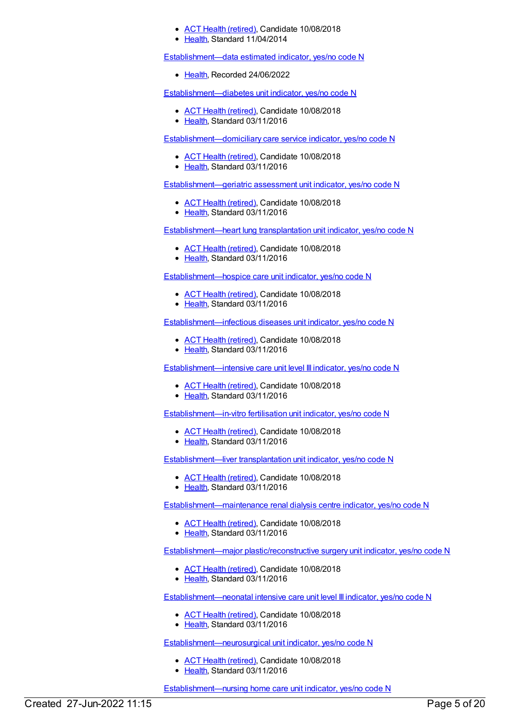- ACT Health [\(retired\)](https://meteor.aihw.gov.au/RegistrationAuthority/9), Candidate 10/08/2018
- [Health](https://meteor.aihw.gov.au/RegistrationAuthority/12), Standard 11/04/2014

[Establishment—data](https://meteor.aihw.gov.au/content/757029) estimated indicator, yes/no code N

• [Health](https://meteor.aihw.gov.au/RegistrationAuthority/12), Recorded 24/06/2022

[Establishment—diabetes](https://meteor.aihw.gov.au/content/619769) unit indicator, yes/no code N

- ACT Health [\(retired\)](https://meteor.aihw.gov.au/RegistrationAuthority/9), Candidate 10/08/2018
- [Health](https://meteor.aihw.gov.au/RegistrationAuthority/12), Standard 03/11/2016

[Establishment—domiciliary](https://meteor.aihw.gov.au/content/619790) care service indicator, yes/no code N

- **ACT Health [\(retired\)](https://meteor.aihw.gov.au/RegistrationAuthority/9), Candidate 10/08/2018**
- [Health](https://meteor.aihw.gov.au/RegistrationAuthority/12), Standard 03/11/2016

[Establishment—geriatric](https://meteor.aihw.gov.au/content/619809) assessment unit indicator, yes/no code N

- ACT Health [\(retired\)](https://meteor.aihw.gov.au/RegistrationAuthority/9), Candidate 10/08/2018
- [Health](https://meteor.aihw.gov.au/RegistrationAuthority/12), Standard 03/11/2016

[Establishment—heart](https://meteor.aihw.gov.au/content/619822) lung transplantation unit indicator, yes/no code N

- ACT Health [\(retired\)](https://meteor.aihw.gov.au/RegistrationAuthority/9), Candidate 10/08/2018
- Elealth, Standard 03/11/2016

[Establishment—hospice](https://meteor.aihw.gov.au/content/619860) care unit indicator, yes/no code N

- ACT Health [\(retired\)](https://meteor.aihw.gov.au/RegistrationAuthority/9), Candidate 10/08/2018
- [Health](https://meteor.aihw.gov.au/RegistrationAuthority/12), Standard 03/11/2016

[Establishment—infectious](https://meteor.aihw.gov.au/content/619888) diseases unit indicator, yes/no code N

- ACT Health [\(retired\)](https://meteor.aihw.gov.au/RegistrationAuthority/9), Candidate 10/08/2018
- [Health](https://meteor.aihw.gov.au/RegistrationAuthority/12), Standard 03/11/2016

[Establishment—intensive](https://meteor.aihw.gov.au/content/619894) care unit level III indicator, yes/no code N

- ACT Health [\(retired\)](https://meteor.aihw.gov.au/RegistrationAuthority/9), Candidate 10/08/2018
- [Health](https://meteor.aihw.gov.au/RegistrationAuthority/12), Standard 03/11/2016

[Establishment—in-vitro](https://meteor.aihw.gov.au/content/619877) fertilisation unit indicator, yes/no code N

- ACT Health [\(retired\)](https://meteor.aihw.gov.au/RegistrationAuthority/9), Candidate 10/08/2018
- Elealth, Standard 03/11/2016

[Establishment—liver](https://meteor.aihw.gov.au/content/619914) transplantation unit indicator, yes/no code N

- ACT Health [\(retired\)](https://meteor.aihw.gov.au/RegistrationAuthority/9), Candidate 10/08/2018
- [Health](https://meteor.aihw.gov.au/RegistrationAuthority/12), Standard 03/11/2016

[Establishment—maintenance](https://meteor.aihw.gov.au/content/619920) renal dialysis centre indicator, yes/no code N

- ACT Health [\(retired\)](https://meteor.aihw.gov.au/RegistrationAuthority/9), Candidate 10/08/2018
- [Health](https://meteor.aihw.gov.au/RegistrationAuthority/12), Standard 03/11/2016

[Establishment—major](https://meteor.aihw.gov.au/content/619941) plastic/reconstructive surgery unit indicator, yes/no code N

- ACT Health [\(retired\)](https://meteor.aihw.gov.au/RegistrationAuthority/9), Candidate 10/08/2018
- [Health](https://meteor.aihw.gov.au/RegistrationAuthority/12), Standard 03/11/2016

[Establishment—neonatal](https://meteor.aihw.gov.au/content/619947) intensive care unit level III indicator, yes/no code N

- ACT Health [\(retired\)](https://meteor.aihw.gov.au/RegistrationAuthority/9), Candidate 10/08/2018
- [Health](https://meteor.aihw.gov.au/RegistrationAuthority/12), Standard 03/11/2016

[Establishment—neurosurgical](https://meteor.aihw.gov.au/content/619953) unit indicator, yes/no code N

- ACT Health [\(retired\)](https://meteor.aihw.gov.au/RegistrationAuthority/9), Candidate 10/08/2018
- [Health](https://meteor.aihw.gov.au/RegistrationAuthority/12), Standard 03/11/2016

[Establishment—nursing](https://meteor.aihw.gov.au/content/619959) home care unit indicator, yes/no code N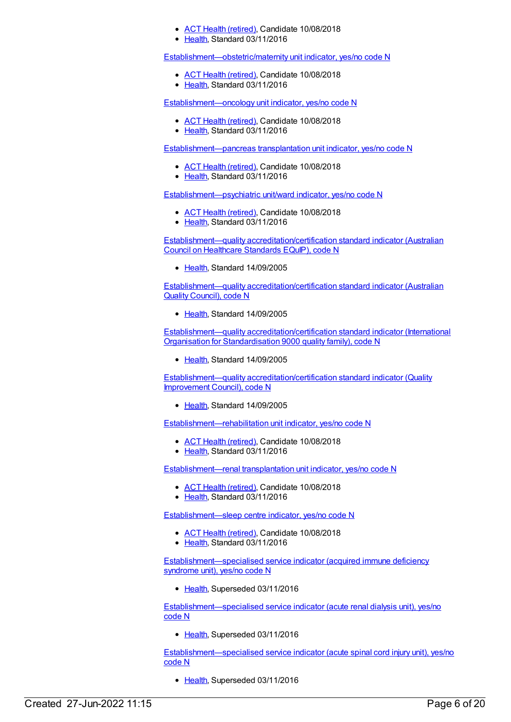- ACT Health [\(retired\)](https://meteor.aihw.gov.au/RegistrationAuthority/9), Candidate 10/08/2018
- [Health](https://meteor.aihw.gov.au/RegistrationAuthority/12), Standard 03/11/2016

[Establishment—obstetric/maternity](https://meteor.aihw.gov.au/content/619977) unit indicator, yes/no code N

- ACT Health [\(retired\)](https://meteor.aihw.gov.au/RegistrationAuthority/9), Candidate 10/08/2018
- [Health](https://meteor.aihw.gov.au/RegistrationAuthority/12), Standard 03/11/2016

[Establishment—oncology](https://meteor.aihw.gov.au/content/619990) unit indicator, yes/no code N

- ACT Health [\(retired\)](https://meteor.aihw.gov.au/RegistrationAuthority/9), Candidate 10/08/2018
- [Health](https://meteor.aihw.gov.au/RegistrationAuthority/12), Standard 03/11/2016

[Establishment—pancreas](https://meteor.aihw.gov.au/content/619997) transplantation unit indicator, yes/no code N

- ACT Health [\(retired\)](https://meteor.aihw.gov.au/RegistrationAuthority/9), Candidate 10/08/2018
- [Health](https://meteor.aihw.gov.au/RegistrationAuthority/12), Standard 03/11/2016

[Establishment—psychiatric](https://meteor.aihw.gov.au/content/620003) unit/ward indicator, yes/no code N

- ACT Health [\(retired\)](https://meteor.aihw.gov.au/RegistrationAuthority/9), Candidate 10/08/2018
- [Health](https://meteor.aihw.gov.au/RegistrationAuthority/12), Standard 03/11/2016

Establishment—quality [accreditation/certification](https://meteor.aihw.gov.au/content/302372) standard indicator (Australian Council on Healthcare Standards EQuIP), code N

• [Health](https://meteor.aihw.gov.au/RegistrationAuthority/12), Standard 14/09/2005

Establishment—quality [accreditation/certification](https://meteor.aihw.gov.au/content/302374) standard indicator (Australian Quality Council), code N

• [Health](https://meteor.aihw.gov.au/RegistrationAuthority/12), Standard 14/09/2005

Establishment—quality [accreditation/certification](https://meteor.aihw.gov.au/content/302377) standard indicator (International Organisation for Standardisation 9000 quality family), code N

• [Health](https://meteor.aihw.gov.au/RegistrationAuthority/12), Standard 14/09/2005

Establishment—quality [accreditation/certification](https://meteor.aihw.gov.au/content/302379) standard indicator (Quality Improvement Council), code N

• [Health](https://meteor.aihw.gov.au/RegistrationAuthority/12), Standard 14/09/2005

[Establishment—rehabilitation](https://meteor.aihw.gov.au/content/620010) unit indicator, yes/no code N

- ACT Health [\(retired\)](https://meteor.aihw.gov.au/RegistrationAuthority/9), Candidate 10/08/2018
- [Health](https://meteor.aihw.gov.au/RegistrationAuthority/12), Standard 03/11/2016

[Establishment—renal](https://meteor.aihw.gov.au/content/620019) transplantation unit indicator, yes/no code N

- ACT Health [\(retired\)](https://meteor.aihw.gov.au/RegistrationAuthority/9), Candidate 10/08/2018
- [Health](https://meteor.aihw.gov.au/RegistrationAuthority/12), Standard 03/11/2016

[Establishment—sleep](https://meteor.aihw.gov.au/content/620026) centre indicator, yes/no code N

- ACT Health [\(retired\)](https://meteor.aihw.gov.au/RegistrationAuthority/9), Candidate 10/08/2018
- [Health](https://meteor.aihw.gov.au/RegistrationAuthority/12), Standard 03/11/2016

[Establishment—specialised](https://meteor.aihw.gov.au/content/270448) service indicator (acquired immune deficiency syndrome unit), yes/no code N

• [Health](https://meteor.aihw.gov.au/RegistrationAuthority/12), Superseded 03/11/2016

[Establishment—specialised](https://meteor.aihw.gov.au/content/270435) service indicator (acute renal dialysis unit), yes/no code N

• [Health](https://meteor.aihw.gov.au/RegistrationAuthority/12), Superseded 03/11/2016

[Establishment—specialised](https://meteor.aihw.gov.au/content/270432) service indicator (acute spinal cord injury unit), yes/no code N

• [Health](https://meteor.aihw.gov.au/RegistrationAuthority/12), Superseded 03/11/2016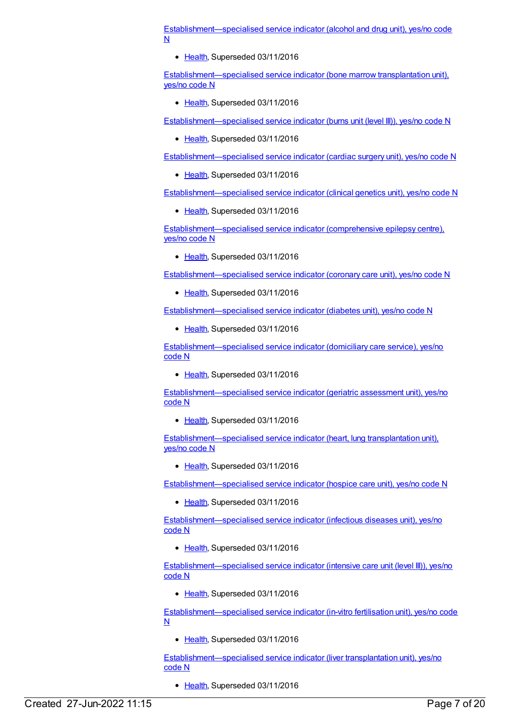[Establishment—specialised](https://meteor.aihw.gov.au/content/270431) service indicator (alcohol and drug unit), yes/no code N

• [Health](https://meteor.aihw.gov.au/RegistrationAuthority/12), Superseded 03/11/2016

[Establishment—specialised](https://meteor.aihw.gov.au/content/308862) service indicator (bone marrow transplantation unit), yes/no code N

• [Health](https://meteor.aihw.gov.au/RegistrationAuthority/12), Superseded 03/11/2016

[Establishment—specialised](https://meteor.aihw.gov.au/content/270438) service indicator (burns unit (level III)), yes/no code N

• [Health](https://meteor.aihw.gov.au/RegistrationAuthority/12), Superseded 03/11/2016

[Establishment—specialised](https://meteor.aihw.gov.au/content/270434) service indicator (cardiac surgery unit), yes/no code N

• [Health](https://meteor.aihw.gov.au/RegistrationAuthority/12), Superseded 03/11/2016

[Establishment—specialised](https://meteor.aihw.gov.au/content/270444) service indicator (clinical genetics unit), yes/no code N

• [Health](https://meteor.aihw.gov.au/RegistrationAuthority/12), Superseded 03/11/2016

[Establishment—specialised](https://meteor.aihw.gov.au/content/270442) service indicator (comprehensive epilepsy centre), yes/no code N

• [Health](https://meteor.aihw.gov.au/RegistrationAuthority/12), Superseded 03/11/2016

[Establishment—specialised](https://meteor.aihw.gov.au/content/270433) service indicator (coronary care unit), yes/no code N

• [Health](https://meteor.aihw.gov.au/RegistrationAuthority/12), Superseded 03/11/2016

[Establishment—specialised](https://meteor.aihw.gov.au/content/270449) service indicator (diabetes unit), yes/no code N

• [Health](https://meteor.aihw.gov.au/RegistrationAuthority/12), Superseded 03/11/2016

[Establishment—specialised](https://meteor.aihw.gov.au/content/270430) service indicator (domiciliary care service), yes/no code N

• [Health](https://meteor.aihw.gov.au/RegistrationAuthority/12), Superseded 03/11/2016

[Establishment—specialised](https://meteor.aihw.gov.au/content/270429) service indicator (geriatric assessment unit), yes/no code N

• [Health](https://meteor.aihw.gov.au/RegistrationAuthority/12), Superseded 03/11/2016

[Establishment—specialised](https://meteor.aihw.gov.au/content/308866) service indicator (heart, lung transplantation unit), yes/no code N

• [Health](https://meteor.aihw.gov.au/RegistrationAuthority/12), Superseded 03/11/2016

[Establishment—specialised](https://meteor.aihw.gov.au/content/270427) service indicator (hospice care unit), yes/no code N

• [Health](https://meteor.aihw.gov.au/RegistrationAuthority/12), Superseded 03/11/2016

[Establishment—specialised](https://meteor.aihw.gov.au/content/270447) service indicator (infectious diseases unit), yes/no code N

• [Health](https://meteor.aihw.gov.au/RegistrationAuthority/12), Superseded 03/11/2016

[Establishment—specialised](https://meteor.aihw.gov.au/content/270426) service indicator (intensive care unit (level III)), yes/no code N

• [Health](https://meteor.aihw.gov.au/RegistrationAuthority/12), Superseded 03/11/2016

[Establishment—specialised](https://meteor.aihw.gov.au/content/270441) service indicator (in-vitro fertilisation unit), yes/no code N

[Health](https://meteor.aihw.gov.au/RegistrationAuthority/12), Superseded 03/11/2016

[Establishment—specialised](https://meteor.aihw.gov.au/content/308868) service indicator (liver transplantation unit), yes/no code N

• [Health](https://meteor.aihw.gov.au/RegistrationAuthority/12), Superseded 03/11/2016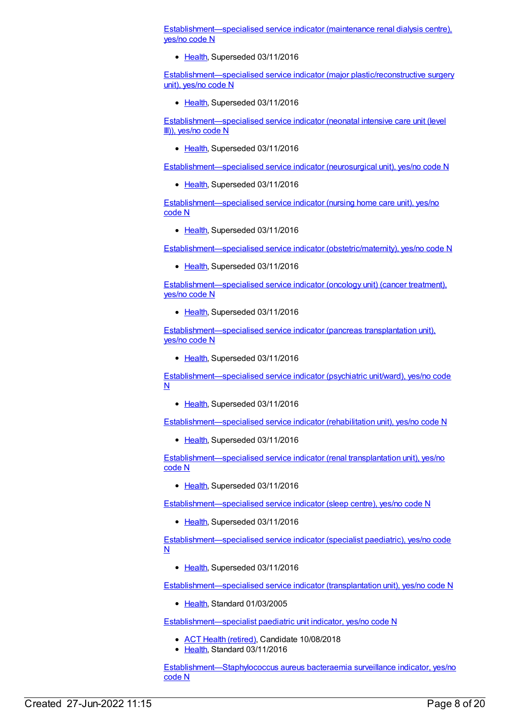[Establishment—specialised](https://meteor.aihw.gov.au/content/270437) service indicator (maintenance renal dialysis centre), yes/no code N

• [Health](https://meteor.aihw.gov.au/RegistrationAuthority/12), Superseded 03/11/2016

[Establishment—specialised](https://meteor.aihw.gov.au/content/270439) service indicator (major plastic/reconstructive surgery unit), yes/no code N

• [Health](https://meteor.aihw.gov.au/RegistrationAuthority/12), Superseded 03/11/2016

[Establishment—specialised](https://meteor.aihw.gov.au/content/270436) service indicator (neonatal intensive care unit (level III)), yes/no code N

• [Health](https://meteor.aihw.gov.au/RegistrationAuthority/12), Superseded 03/11/2016

[Establishment—specialised](https://meteor.aihw.gov.au/content/270446) service indicator (neurosurgical unit), yes/no code N

• [Health](https://meteor.aihw.gov.au/RegistrationAuthority/12), Superseded 03/11/2016

[Establishment—specialised](https://meteor.aihw.gov.au/content/270428) service indicator (nursing home care unit), yes/no code N

• [Health](https://meteor.aihw.gov.au/RegistrationAuthority/12), Superseded 03/11/2016

[Establishment—specialised](https://meteor.aihw.gov.au/content/270150) service indicator (obstetric/maternity), yes/no code N

• [Health](https://meteor.aihw.gov.au/RegistrationAuthority/12), Superseded 03/11/2016

[Establishment—specialised](https://meteor.aihw.gov.au/content/270440) service indicator (oncology unit) (cancer treatment), yes/no code N

[Health](https://meteor.aihw.gov.au/RegistrationAuthority/12), Superseded 03/11/2016

[Establishment—specialised](https://meteor.aihw.gov.au/content/308870) service indicator (pancreas transplantation unit), yes/no code N

• [Health](https://meteor.aihw.gov.au/RegistrationAuthority/12), Superseded 03/11/2016

[Establishment—specialised](https://meteor.aihw.gov.au/content/270425) service indicator (psychiatric unit/ward), yes/no code  $\underline{\mathsf{N}}$ 

• [Health](https://meteor.aihw.gov.au/RegistrationAuthority/12), Superseded 03/11/2016

[Establishment—specialised](https://meteor.aihw.gov.au/content/270450) service indicator (rehabilitation unit), yes/no code N

• [Health](https://meteor.aihw.gov.au/RegistrationAuthority/12), Superseded 03/11/2016

[Establishment—specialised](https://meteor.aihw.gov.au/content/308864) service indicator (renal transplantation unit), yes/no code N

• [Health](https://meteor.aihw.gov.au/RegistrationAuthority/12), Superseded 03/11/2016

[Establishment—specialised](https://meteor.aihw.gov.au/content/270445) service indicator (sleep centre), yes/no code N

• [Health](https://meteor.aihw.gov.au/RegistrationAuthority/12), Superseded 03/11/2016

[Establishment—specialised](https://meteor.aihw.gov.au/content/270424) service indicator (specialist paediatric), yes/no code N

• [Health](https://meteor.aihw.gov.au/RegistrationAuthority/12), Superseded 03/11/2016

[Establishment—specialised](https://meteor.aihw.gov.au/content/270443) service indicator (transplantation unit), yes/no code N

[Health](https://meteor.aihw.gov.au/RegistrationAuthority/12), Standard 01/03/2005

[Establishment—specialist](https://meteor.aihw.gov.au/content/620033) paediatric unit indicator, yes/no code N

- ACT Health [\(retired\)](https://meteor.aihw.gov.au/RegistrationAuthority/9), Candidate 10/08/2018
- [Health](https://meteor.aihw.gov.au/RegistrationAuthority/12), Standard 03/11/2016

[Establishment—Staphylococcus](https://meteor.aihw.gov.au/content/585386) aureus bacteraemia surveillance indicator, yes/no code N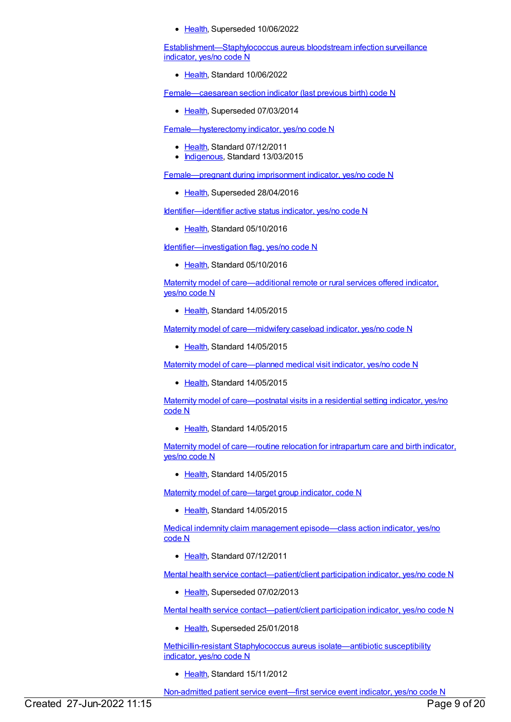• [Health](https://meteor.aihw.gov.au/RegistrationAuthority/12), Superseded 10/06/2022

[Establishment—Staphylococcus](https://meteor.aihw.gov.au/content/754293) aureus bloodstream infection surveillance indicator, yes/no code N

• [Health](https://meteor.aihw.gov.au/RegistrationAuthority/12), Standard 10/06/2022

[Female—caesarean](https://meteor.aihw.gov.au/content/301993) section indicator (last previous birth) code N

• [Health](https://meteor.aihw.gov.au/RegistrationAuthority/12), Superseded 07/03/2014

[Female—hysterectomy](https://meteor.aihw.gov.au/content/457775) indicator, yes/no code N

- [Health](https://meteor.aihw.gov.au/RegistrationAuthority/12), Standard 07/12/2011
- [Indigenous](https://meteor.aihw.gov.au/RegistrationAuthority/6), Standard 13/03/2015

[Female—pregnant](https://meteor.aihw.gov.au/content/483599) during imprisonment indicator, yes/no code N

• [Health](https://meteor.aihw.gov.au/RegistrationAuthority/12), Superseded 28/04/2016

Identifier-identifier active status indicator, yes/no code N

• [Health](https://meteor.aihw.gov.au/RegistrationAuthority/12), Standard 05/10/2016

[Identifier—investigation](https://meteor.aihw.gov.au/content/638745) flag, yes/no code N

• [Health](https://meteor.aihw.gov.au/RegistrationAuthority/12), Standard 05/10/2016

Maternity model of [care—additional](https://meteor.aihw.gov.au/content/579692) remote or rural services offered indicator, yes/no code N

• [Health](https://meteor.aihw.gov.au/RegistrationAuthority/12), Standard 14/05/2015

Maternity model of [care—midwifery](https://meteor.aihw.gov.au/content/558582) caseload indicator, yes/no code N

• [Health](https://meteor.aihw.gov.au/RegistrationAuthority/12), Standard 14/05/2015

Maternity model of [care—planned](https://meteor.aihw.gov.au/content/558770) medical visit indicator, yes/no code N

• [Health](https://meteor.aihw.gov.au/RegistrationAuthority/12), Standard 14/05/2015

Maternity model of [care—postnatal](https://meteor.aihw.gov.au/content/558729) visits in a residential setting indicator, yes/no code N

[Health](https://meteor.aihw.gov.au/RegistrationAuthority/12), Standard 14/05/2015

Maternity model of [care—routine](https://meteor.aihw.gov.au/content/562432) relocation for intrapartum care and birth indicator, yes/no code N

• [Health](https://meteor.aihw.gov.au/RegistrationAuthority/12), Standard 14/05/2015

Maternity model of [care—target](https://meteor.aihw.gov.au/content/558051) group indicator, code N

● [Health](https://meteor.aihw.gov.au/RegistrationAuthority/12), Standard 14/05/2015

Medical indemnity claim management [episode—class](https://meteor.aihw.gov.au/content/466010) action indicator, yes/no code N

• [Health](https://meteor.aihw.gov.au/RegistrationAuthority/12), Standard 07/12/2011

Mental health service [contact—patient/client](https://meteor.aihw.gov.au/content/286859) participation indicator, yes/no code N

• [Health](https://meteor.aihw.gov.au/RegistrationAuthority/12), Superseded 07/02/2013

Mental health service [contact—patient/client](https://meteor.aihw.gov.au/content/494341) participation indicator, yes/no code N

• [Health](https://meteor.aihw.gov.au/RegistrationAuthority/12), Superseded 25/01/2018

[Methicillin-resistant](https://meteor.aihw.gov.au/content/458628) Staphylococcus aureus isolate—antibiotic susceptibility indicator, yes/no code N

• [Health](https://meteor.aihw.gov.au/RegistrationAuthority/12), Standard 15/11/2012

[Non-admitted](https://meteor.aihw.gov.au/content/596610) patient service event—first service event indicator, yes/no code N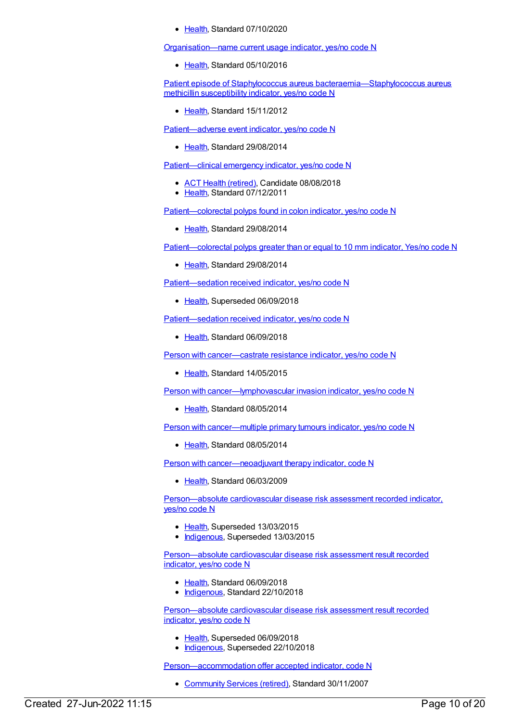• [Health](https://meteor.aihw.gov.au/RegistrationAuthority/12), Standard 07/10/2020

[Organisation—name](https://meteor.aihw.gov.au/content/636299) current usage indicator, yes/no code N

• [Health](https://meteor.aihw.gov.au/RegistrationAuthority/12), Standard 05/10/2016

Patient episode of Staphylococcus aureus [bacteraemia—Staphylococcus](https://meteor.aihw.gov.au/content/458522) aureus methicillin susceptibility indicator, yes/no code N

[Health](https://meteor.aihw.gov.au/RegistrationAuthority/12), Standard 15/11/2012

[Patient—adverse](https://meteor.aihw.gov.au/content/567756) event indicator, yes/no code N

• [Health](https://meteor.aihw.gov.au/RegistrationAuthority/12), Standard 29/08/2014

[Patient—clinical](https://meteor.aihw.gov.au/content/448126) emergency indicator, yes/no code N

- ACT Health [\(retired\)](https://meteor.aihw.gov.au/RegistrationAuthority/9), Candidate 08/08/2018
- [Health](https://meteor.aihw.gov.au/RegistrationAuthority/12), Standard 07/12/2011

Patient-colorectal polyps found in colon indicator, yes/no code N

• [Health](https://meteor.aihw.gov.au/RegistrationAuthority/12), Standard 29/08/2014

[Patient—colorectal](https://meteor.aihw.gov.au/content/530295) polyps greater than or equal to 10 mm indicator, Yes/no code N

• [Health](https://meteor.aihw.gov.au/RegistrationAuthority/12), Standard 29/08/2014

[Patient—sedation](https://meteor.aihw.gov.au/content/563828) received indicator, yes/no code N

• [Health](https://meteor.aihw.gov.au/RegistrationAuthority/12), Superseded 06/09/2018

[Patient—sedation](https://meteor.aihw.gov.au/content/695923) received indicator, yes/no code N

• [Health](https://meteor.aihw.gov.au/RegistrationAuthority/12), Standard 06/09/2018

Person with [cancer—castrate](https://meteor.aihw.gov.au/content/492869) resistance indicator, yes/no code N

• [Health](https://meteor.aihw.gov.au/RegistrationAuthority/12), Standard 14/05/2015

Person with [cancer—lymphovascular](https://meteor.aihw.gov.au/content/519212) invasion indicator, yes/no code N

• [Health](https://meteor.aihw.gov.au/RegistrationAuthority/12), Standard 08/05/2014

Person with [cancer—multiple](https://meteor.aihw.gov.au/content/519548) primary tumours indicator, yes/no code N

• [Health](https://meteor.aihw.gov.au/RegistrationAuthority/12), Standard 08/05/2014

Person with [cancer—neoadjuvant](https://meteor.aihw.gov.au/content/370014) therapy indicator, code N

• [Health](https://meteor.aihw.gov.au/RegistrationAuthority/12), Standard 06/03/2009

[Person—absolute](https://meteor.aihw.gov.au/content/503024) cardiovascular disease risk assessment recorded indicator, yes/no code N

- [Health](https://meteor.aihw.gov.au/RegistrationAuthority/12), Superseded 13/03/2015
- [Indigenous](https://meteor.aihw.gov.au/RegistrationAuthority/6), Superseded 13/03/2015

[Person—absolute](https://meteor.aihw.gov.au/content/699031) cardiovascular disease risk assessment result recorded indicator, yes/no code N

- [Health](https://meteor.aihw.gov.au/RegistrationAuthority/12), Standard 06/09/2018
- [Indigenous](https://meteor.aihw.gov.au/RegistrationAuthority/6), Standard 22/10/2018

[Person—absolute](https://meteor.aihw.gov.au/content/585364) cardiovascular disease risk assessment result recorded indicator, yes/no code N

- [Health](https://meteor.aihw.gov.au/RegistrationAuthority/12), Superseded 06/09/2018
- [Indigenous](https://meteor.aihw.gov.au/RegistrationAuthority/6), Superseded 22/10/2018

[Person—accommodation](https://meteor.aihw.gov.au/content/331514) offer accepted indicator, code N

[Community](https://meteor.aihw.gov.au/RegistrationAuthority/1) Services (retired), Standard 30/11/2007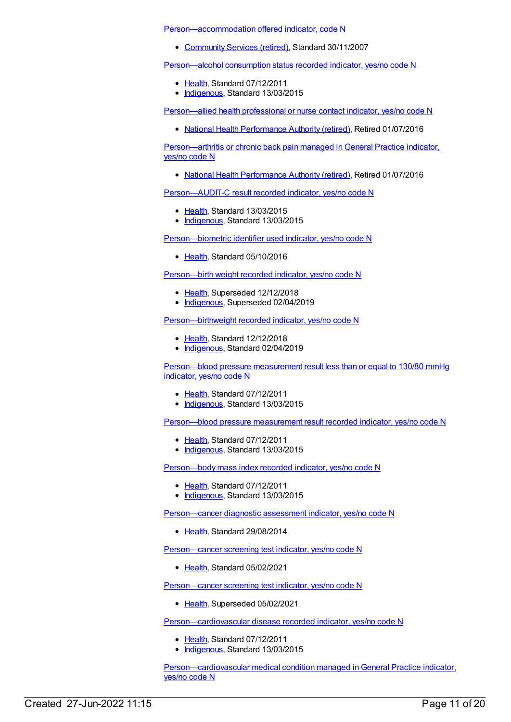[Person—accommodation](https://meteor.aihw.gov.au/content/329986) offered indicator, code N

[Community](https://meteor.aihw.gov.au/RegistrationAuthority/1) Services (retired), Standard 30/11/2007

[Person—alcohol](https://meteor.aihw.gov.au/content/441441) consumption status recorded indicator, yes/no code N

- [Health](https://meteor.aihw.gov.au/RegistrationAuthority/12), Standard 07/12/2011
- [Indigenous](https://meteor.aihw.gov.au/RegistrationAuthority/6), Standard 13/03/2015

[Person—allied](https://meteor.aihw.gov.au/content/575314) health professional or nurse contact indicator, yes/no code N

• National Health [Performance](https://meteor.aihw.gov.au/RegistrationAuthority/8) Authority (retired), Retired 01/07/2016

[Person—arthritis](https://meteor.aihw.gov.au/content/595649) or chronic back pain managed inGeneral Practice indicator, yes/no code N

• National Health [Performance](https://meteor.aihw.gov.au/RegistrationAuthority/8) Authority (retired), Retired 01/07/2016

[Person—AUDIT-C](https://meteor.aihw.gov.au/content/585171) result recorded indicator, yes/no code N

- [Health](https://meteor.aihw.gov.au/RegistrationAuthority/12), Standard 13/03/2015
- [Indigenous](https://meteor.aihw.gov.au/RegistrationAuthority/6), Standard 13/03/2015

[Person—biometric](https://meteor.aihw.gov.au/content/527290) identifier used indicator, yes/no code N

[Health](https://meteor.aihw.gov.au/RegistrationAuthority/12), Standard 05/10/2016

[Person—birth](https://meteor.aihw.gov.au/content/441701) weight recorded indicator, yes/no code N

- [Health](https://meteor.aihw.gov.au/RegistrationAuthority/12), Superseded 12/12/2018
- [Indigenous](https://meteor.aihw.gov.au/RegistrationAuthority/6), Superseded 02/04/2019

[Person—birthweight](https://meteor.aihw.gov.au/content/709571) recorded indicator, yes/no code N

- [Health](https://meteor.aihw.gov.au/RegistrationAuthority/12), Standard 12/12/2018
- [Indigenous](https://meteor.aihw.gov.au/RegistrationAuthority/6), Standard 02/04/2019

[Person—blood](https://meteor.aihw.gov.au/content/443234) pressure measurement result less than or equal to 130/80 mmHg indicator, yes/no code N

- [Health](https://meteor.aihw.gov.au/RegistrationAuthority/12), Standard 07/12/2011
- [Indigenous](https://meteor.aihw.gov.au/RegistrationAuthority/6), Standard 13/03/2015

[Person—blood](https://meteor.aihw.gov.au/content/441407) pressure measurement result recorded indicator, yes/no code N

- [Health](https://meteor.aihw.gov.au/RegistrationAuthority/12), Standard 07/12/2011
- [Indigenous](https://meteor.aihw.gov.au/RegistrationAuthority/6), Standard 13/03/2015

[Person—body](https://meteor.aihw.gov.au/content/443083) mass index recorded indicator, yes/no code N

- [Health](https://meteor.aihw.gov.au/RegistrationAuthority/12), Standard 07/12/2011
- [Indigenous](https://meteor.aihw.gov.au/RegistrationAuthority/6), Standard 13/03/2015

[Person—cancer](https://meteor.aihw.gov.au/content/563770) diagnostic assessment indicator, yes/no code N

• [Health](https://meteor.aihw.gov.au/RegistrationAuthority/12), Standard 29/08/2014

[Person—cancer](https://meteor.aihw.gov.au/content/732528) screening test indicator, yes/no code N

[Health](https://meteor.aihw.gov.au/RegistrationAuthority/12), Standard 05/02/2021

[Person—cancer](https://meteor.aihw.gov.au/content/571236) screening test indicator, yes/no code N

• [Health](https://meteor.aihw.gov.au/RegistrationAuthority/12), Superseded 05/02/2021

[Person—cardiovascular](https://meteor.aihw.gov.au/content/465948) disease recorded indicator, yes/no code N

- [Health](https://meteor.aihw.gov.au/RegistrationAuthority/12), Standard 07/12/2011
- [Indigenous](https://meteor.aihw.gov.au/RegistrationAuthority/6), Standard 13/03/2015

[Person—cardiovascular](https://meteor.aihw.gov.au/content/595636) medical condition managed in General Practice indicator, yes/no code N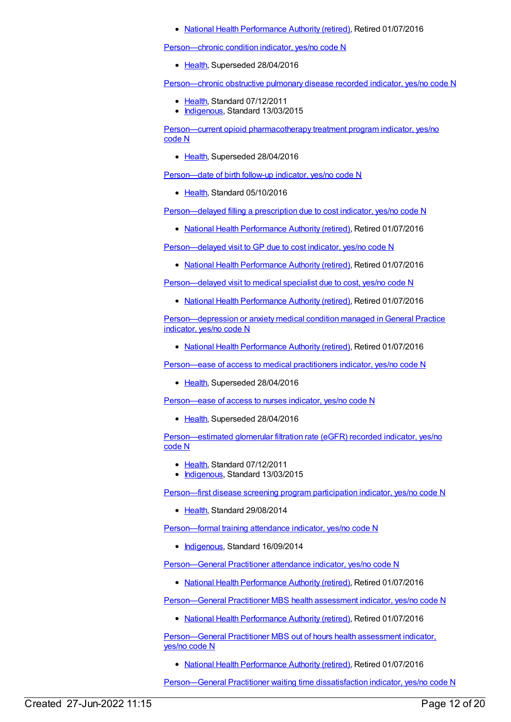• National Health [Performance](https://meteor.aihw.gov.au/RegistrationAuthority/8) Authority (retired), Retired 01/07/2016

Person-chronic condition indicator, yes/no code N

• [Health](https://meteor.aihw.gov.au/RegistrationAuthority/12), Superseded 28/04/2016

[Person—chronic](https://meteor.aihw.gov.au/content/464928) obstructive pulmonary disease recorded indicator, yes/no code N

- [Health](https://meteor.aihw.gov.au/RegistrationAuthority/12), Standard 07/12/2011
- [Indigenous](https://meteor.aihw.gov.au/RegistrationAuthority/6), Standard 13/03/2015

Person—current opioid [pharmacotherapy](https://meteor.aihw.gov.au/content/404745) treatment program indicator, yes/no code N

• [Health](https://meteor.aihw.gov.au/RegistrationAuthority/12), Superseded 28/04/2016

[Person—date](https://meteor.aihw.gov.au/content/521218) of birth follow-up indicator, yes/no code N

• [Health](https://meteor.aihw.gov.au/RegistrationAuthority/12), Standard 05/10/2016

[Person—delayed](https://meteor.aihw.gov.au/content/573605) filling a prescription due to cost indicator, yes/no code N

• National Health [Performance](https://meteor.aihw.gov.au/RegistrationAuthority/8) Authority (retired), Retired 01/07/2016

[Person—delayed](https://meteor.aihw.gov.au/content/573594) visit to GP due to cost indicator, yes/no code N

• National Health [Performance](https://meteor.aihw.gov.au/RegistrationAuthority/8) Authority (retired), Retired 01/07/2016

[Person—delayed](https://meteor.aihw.gov.au/content/573673) visit to medical specialist due to cost, yes/no code N

• National Health [Performance](https://meteor.aihw.gov.au/RegistrationAuthority/8) Authority (retired), Retired 01/07/2016

[Person—depression](https://meteor.aihw.gov.au/content/595638) or anxiety medical condition managed in General Practice indicator, yes/no code N

• National Health [Performance](https://meteor.aihw.gov.au/RegistrationAuthority/8) Authority (retired), Retired 01/07/2016

[Person—ease](https://meteor.aihw.gov.au/content/483272) of access to medical practitioners indicator, yes/no code N

• [Health](https://meteor.aihw.gov.au/RegistrationAuthority/12), Superseded 28/04/2016

[Person—ease](https://meteor.aihw.gov.au/content/483279) of access to nurses indicator, yes/no code N

• [Health](https://meteor.aihw.gov.au/RegistrationAuthority/12), Superseded 28/04/2016

[Person—estimated](https://meteor.aihw.gov.au/content/464961) glomerular filtration rate (eGFR) recorded indicator, yes/no code N

- [Health](https://meteor.aihw.gov.au/RegistrationAuthority/12), Standard 07/12/2011
- [Indigenous](https://meteor.aihw.gov.au/RegistrationAuthority/6), Standard 13/03/2015

[Person—first](https://meteor.aihw.gov.au/content/530590) disease screening program participation indicator, yes/no code N

● [Health](https://meteor.aihw.gov.au/RegistrationAuthority/12), Standard 29/08/2014

[Person—formal](https://meteor.aihw.gov.au/content/578355) training attendance indicator, yes/no code N

• [Indigenous](https://meteor.aihw.gov.au/RegistrationAuthority/6), Standard 16/09/2014

[Person—General](https://meteor.aihw.gov.au/content/603651) Practitioner attendance indicator, yes/no code N

• National Health [Performance](https://meteor.aihw.gov.au/RegistrationAuthority/8) Authority (retired), Retired 01/07/2016

Person-General Practitioner MBS health assessment indicator, yes/no code N

• National Health [Performance](https://meteor.aihw.gov.au/RegistrationAuthority/8) Authority (retired), Retired 01/07/2016

[Person—General](https://meteor.aihw.gov.au/content/556549) Practitioner MBS out of hours health assessment indicator, yes/no code N

• National Health [Performance](https://meteor.aihw.gov.au/RegistrationAuthority/8) Authority (retired), Retired 01/07/2016

Person-General Practitioner waiting time dissatisfaction indicator, yes/no code N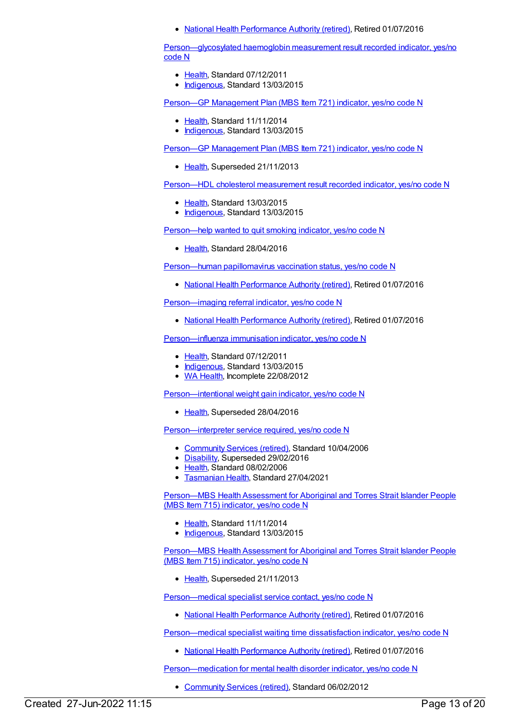• National Health [Performance](https://meteor.aihw.gov.au/RegistrationAuthority/8) Authority (retired), Retired 01/07/2016

[Person—glycosylated](https://meteor.aihw.gov.au/content/441495) haemoglobin measurement result recorded indicator, yes/no code N

- [Health](https://meteor.aihw.gov.au/RegistrationAuthority/12), Standard 07/12/2011
- [Indigenous](https://meteor.aihw.gov.au/RegistrationAuthority/6), Standard 13/03/2015

Person—GP [Management](https://meteor.aihw.gov.au/content/504966) Plan (MBS Item 721) indicator, yes/no code N

- [Health](https://meteor.aihw.gov.au/RegistrationAuthority/12), Standard 11/11/2014
- [Indigenous](https://meteor.aihw.gov.au/RegistrationAuthority/6), Standard 13/03/2015

Person—GP [Management](https://meteor.aihw.gov.au/content/441514) Plan (MBS Item 721) indicator, yes/no code N

• [Health](https://meteor.aihw.gov.au/RegistrationAuthority/12), Superseded 21/11/2013

[Person—HDL](https://meteor.aihw.gov.au/content/594647) cholesterol measurement result recorded indicator, yes/no code N

- [Health](https://meteor.aihw.gov.au/RegistrationAuthority/12), Standard 13/03/2015
- [Indigenous](https://meteor.aihw.gov.au/RegistrationAuthority/6), Standard 13/03/2015

[Person—help](https://meteor.aihw.gov.au/content/631348) wanted to quit smoking indicator, yes/no code N

• [Health](https://meteor.aihw.gov.au/RegistrationAuthority/12), Standard 28/04/2016

[Person—human](https://meteor.aihw.gov.au/content/564749) papillomavirus vaccination status, yes/no code N

• National Health [Performance](https://meteor.aihw.gov.au/RegistrationAuthority/8) Authority (retired), Retired 01/07/2016

[Person—imaging](https://meteor.aihw.gov.au/content/596066) referral indicator, yes/no code N

• National Health [Performance](https://meteor.aihw.gov.au/RegistrationAuthority/8) Authority (retired), Retired 01/07/2016

[Person—influenza](https://meteor.aihw.gov.au/content/457688) immunisation indicator, yes/no code N

- [Health](https://meteor.aihw.gov.au/RegistrationAuthority/12), Standard 07/12/2011
- [Indigenous](https://meteor.aihw.gov.au/RegistrationAuthority/6), Standard 13/03/2015
- WA [Health](https://meteor.aihw.gov.au/RegistrationAuthority/2), Incomplete 22/08/2012

[Person—intentional](https://meteor.aihw.gov.au/content/482910) weight gain indicator, yes/no code N

• [Health](https://meteor.aihw.gov.au/RegistrationAuthority/12), Superseded 28/04/2016

[Person—interpreter](https://meteor.aihw.gov.au/content/304294) service required, yes/no code N

- [Community](https://meteor.aihw.gov.au/RegistrationAuthority/1) Services (retired), Standard 10/04/2006
- [Disability](https://meteor.aihw.gov.au/RegistrationAuthority/16), Superseded 29/02/2016
- [Health](https://meteor.aihw.gov.au/RegistrationAuthority/12), Standard 08/02/2006
- [Tasmanian](https://meteor.aihw.gov.au/RegistrationAuthority/15) Health, Standard 27/04/2021

[Person—MBS](https://meteor.aihw.gov.au/content/504933) Health Assessment for Aboriginal and Torres Strait Islander People (MBS Item 715) indicator, yes/no code N

- [Health](https://meteor.aihw.gov.au/RegistrationAuthority/12), Standard 11/11/2014
- [Indigenous](https://meteor.aihw.gov.au/RegistrationAuthority/6), Standard 13/03/2015

[Person—MBS](https://meteor.aihw.gov.au/content/441371) Health Assessment for Aboriginal and Torres Strait Islander People (MBS Item 715) indicator, yes/no code N

• [Health](https://meteor.aihw.gov.au/RegistrationAuthority/12), Superseded 21/11/2013

[Person—medical](https://meteor.aihw.gov.au/content/556911) specialist service contact, yes/no code N

• National Health [Performance](https://meteor.aihw.gov.au/RegistrationAuthority/8) Authority (retired), Retired 01/07/2016

[Person—medical](https://meteor.aihw.gov.au/content/556909) specialist waiting time dissatisfaction indicator, yes/no code N

• National Health [Performance](https://meteor.aihw.gov.au/RegistrationAuthority/8) Authority (retired), Retired 01/07/2016

[Person—medication](https://meteor.aihw.gov.au/content/376081) for mental health disorder indicator, yes/no code N

• [Community](https://meteor.aihw.gov.au/RegistrationAuthority/1) Services (retired), Standard 06/02/2012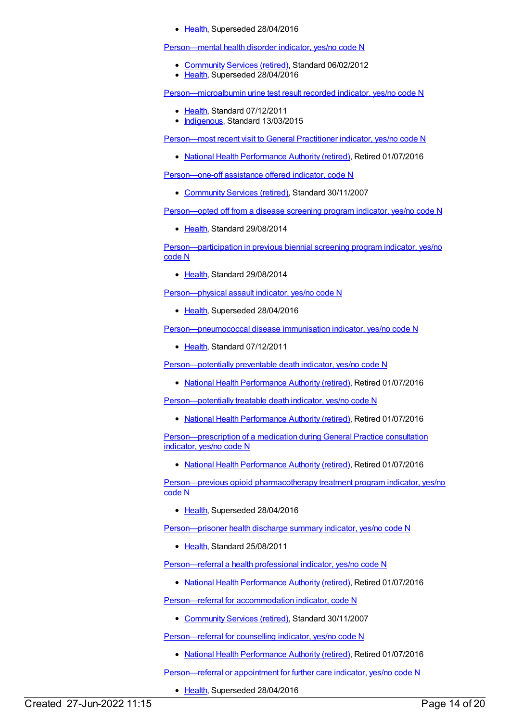### • [Health](https://meteor.aihw.gov.au/RegistrationAuthority/12), Superseded 28/04/2016

[Person—mental](https://meteor.aihw.gov.au/content/376074) health disorder indicator, yes/no code N

- [Community](https://meteor.aihw.gov.au/RegistrationAuthority/1) Services (retired), Standard 06/02/2012
- [Health](https://meteor.aihw.gov.au/RegistrationAuthority/12), Superseded 28/04/2016

[Person—microalbumin](https://meteor.aihw.gov.au/content/464970) urine test result recorded indicator, yes/no code N

- [Health](https://meteor.aihw.gov.au/RegistrationAuthority/12), Standard 07/12/2011
- [Indigenous](https://meteor.aihw.gov.au/RegistrationAuthority/6), Standard 13/03/2015

[Person—most](https://meteor.aihw.gov.au/content/575127) recent visit to General Practitioner indicator, yes/no code N

• National Health [Performance](https://meteor.aihw.gov.au/RegistrationAuthority/8) Authority (retired), Retired 01/07/2016

[Person—one-off](https://meteor.aihw.gov.au/content/333880) assistance offered indicator, code N

• [Community](https://meteor.aihw.gov.au/RegistrationAuthority/1) Services (retired), Standard 30/11/2007

[Person—opted](https://meteor.aihw.gov.au/content/568070) off from a disease screening program indicator, yes/no code N

• [Health](https://meteor.aihw.gov.au/RegistrationAuthority/12), Standard 29/08/2014

[Person—participation](https://meteor.aihw.gov.au/content/563608) in previous biennial screening program indicator, yes/no code N

• [Health](https://meteor.aihw.gov.au/RegistrationAuthority/12), Standard 29/08/2014

[Person—physical](https://meteor.aihw.gov.au/content/482804) assault indicator, yes/no code N

• [Health](https://meteor.aihw.gov.au/RegistrationAuthority/12), Superseded 28/04/2016

[Person—pneumococcal](https://meteor.aihw.gov.au/content/460017) disease immunisation indicator, yes/no code N

• [Health](https://meteor.aihw.gov.au/RegistrationAuthority/12), Standard 07/12/2011

[Person—potentially](https://meteor.aihw.gov.au/content/550821) preventable death indicator, yes/no code N

• National Health [Performance](https://meteor.aihw.gov.au/RegistrationAuthority/8) Authority (retired), Retired 01/07/2016

[Person—potentially](https://meteor.aihw.gov.au/content/550825) treatable death indicator, yes/no code N

• National Health [Performance](https://meteor.aihw.gov.au/RegistrationAuthority/8) Authority (retired), Retired 01/07/2016

[Person—prescription](https://meteor.aihw.gov.au/content/595679) of a medication during General Practice consultation indicator, yes/no code N

• National Health [Performance](https://meteor.aihw.gov.au/RegistrationAuthority/8) Authority (retired), Retired 01/07/2016

Person-previous opioid pharmacotherapy treatment program indicator, yes/no code N

• [Health](https://meteor.aihw.gov.au/RegistrationAuthority/12), Superseded 28/04/2016

[Person—prisoner](https://meteor.aihw.gov.au/content/411257) health discharge summary indicator, yes/no code N

[Health](https://meteor.aihw.gov.au/RegistrationAuthority/12), Standard 25/08/2011

[Person—referral](https://meteor.aihw.gov.au/content/595687) a health professional indicator, yes/no code N

• National Health [Performance](https://meteor.aihw.gov.au/RegistrationAuthority/8) Authority (retired), Retired 01/07/2016

[Person—referral](https://meteor.aihw.gov.au/content/333660) for accommodation indicator, code N

• [Community](https://meteor.aihw.gov.au/RegistrationAuthority/1) Services (retired), Standard 30/11/2007

Person-referral for counselling indicator, yes/no code N

• National Health [Performance](https://meteor.aihw.gov.au/RegistrationAuthority/8) Authority (retired), Retired 01/07/2016

[Person—referral](https://meteor.aihw.gov.au/content/483252) or appointment for further care indicator, yes/no code N

• [Health](https://meteor.aihw.gov.au/RegistrationAuthority/12), Superseded 28/04/2016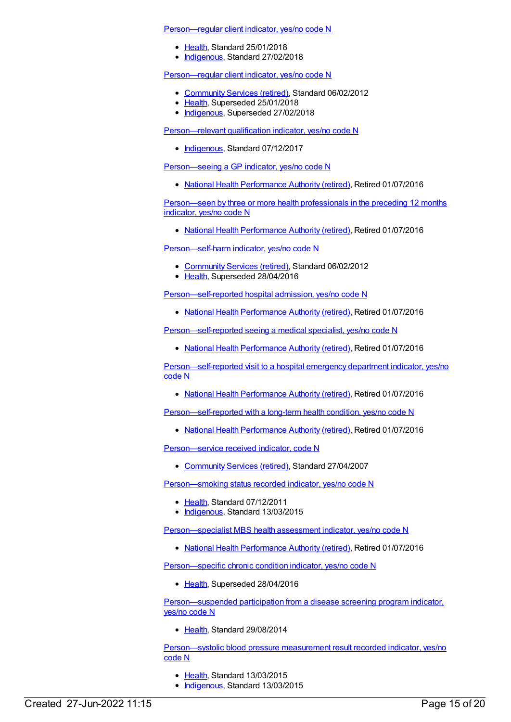#### [Person—regular](https://meteor.aihw.gov.au/content/686291) client indicator, yes/no code N

- [Health](https://meteor.aihw.gov.au/RegistrationAuthority/12), Standard 25/01/2018
- [Indigenous](https://meteor.aihw.gov.au/RegistrationAuthority/6), Standard 27/02/2018

[Person—regular](https://meteor.aihw.gov.au/content/436639) client indicator, yes/no code N

- [Community](https://meteor.aihw.gov.au/RegistrationAuthority/1) Services (retired), Standard 06/02/2012
- [Health](https://meteor.aihw.gov.au/RegistrationAuthority/12), Superseded 25/01/2018
- [Indigenous](https://meteor.aihw.gov.au/RegistrationAuthority/6), Superseded 27/02/2018

[Person—relevant](https://meteor.aihw.gov.au/content/613888) qualification indicator, yes/no code N

• [Indigenous](https://meteor.aihw.gov.au/RegistrationAuthority/6), Standard 07/12/2017

[Person—seeing](https://meteor.aihw.gov.au/content/594114) a GP indicator, yes/no code N

• National Health [Performance](https://meteor.aihw.gov.au/RegistrationAuthority/8) Authority (retired), Retired 01/07/2016

[Person—seen](https://meteor.aihw.gov.au/content/601773) by three or more health professionals in the preceding 12 months indicator, yes/no code N

• National Health [Performance](https://meteor.aihw.gov.au/RegistrationAuthority/8) Authority (retired), Retired 01/07/2016

[Person—self-harm](https://meteor.aihw.gov.au/content/358878) indicator, yes/no code N

- [Community](https://meteor.aihw.gov.au/RegistrationAuthority/1) Services (retired), Standard 06/02/2012
- [Health](https://meteor.aihw.gov.au/RegistrationAuthority/12), Superseded 28/04/2016

[Person—self-reported](https://meteor.aihw.gov.au/content/556917) hospital admission, yes/no code N

• National Health [Performance](https://meteor.aihw.gov.au/RegistrationAuthority/8) Authority (retired), Retired 01/07/2016

[Person—self-reported](https://meteor.aihw.gov.au/content/594770) seeing a medical specialist, yes/no code N

• National Health [Performance](https://meteor.aihw.gov.au/RegistrationAuthority/8) Authority (retired), Retired 01/07/2016

[Person—self-reported](https://meteor.aihw.gov.au/content/556914) visit to a hospital emergency department indicator, yes/no code N

• National Health [Performance](https://meteor.aihw.gov.au/RegistrationAuthority/8) Authority (retired), Retired 01/07/2016

[Person—self-reported](https://meteor.aihw.gov.au/content/594171) with a long-term health condition, yes/no code N

• National Health [Performance](https://meteor.aihw.gov.au/RegistrationAuthority/8) Authority (retired), Retired 01/07/2016

[Person—service](https://meteor.aihw.gov.au/content/323510) received indicator, code N

[Community](https://meteor.aihw.gov.au/RegistrationAuthority/1) Services (retired), Standard 27/04/2007

[Person—smoking](https://meteor.aihw.gov.au/content/441380) status recorded indicator, yes/no code N

- [Health](https://meteor.aihw.gov.au/RegistrationAuthority/12), Standard 07/12/2011
- [Indigenous](https://meteor.aihw.gov.au/RegistrationAuthority/6), Standard 13/03/2015

[Person—specialist](https://meteor.aihw.gov.au/content/504845) MBS health assessment indicator, yes/no code N

• National Health [Performance](https://meteor.aihw.gov.au/RegistrationAuthority/8) Authority (retired), Retired 01/07/2016

[Person—specific](https://meteor.aihw.gov.au/content/399225) chronic condition indicator, yes/no code N

• [Health](https://meteor.aihw.gov.au/RegistrationAuthority/12), Superseded 28/04/2016

[Person—suspended](https://meteor.aihw.gov.au/content/568073) participation from a disease screening program indicator, yes/no code N

• [Health](https://meteor.aihw.gov.au/RegistrationAuthority/12), Standard 29/08/2014

[Person—systolic](https://meteor.aihw.gov.au/content/588766) blood pressure measurement result recorded indicator, yes/no code N

- [Health](https://meteor.aihw.gov.au/RegistrationAuthority/12), Standard 13/03/2015
- [Indigenous](https://meteor.aihw.gov.au/RegistrationAuthority/6), Standard 13/03/2015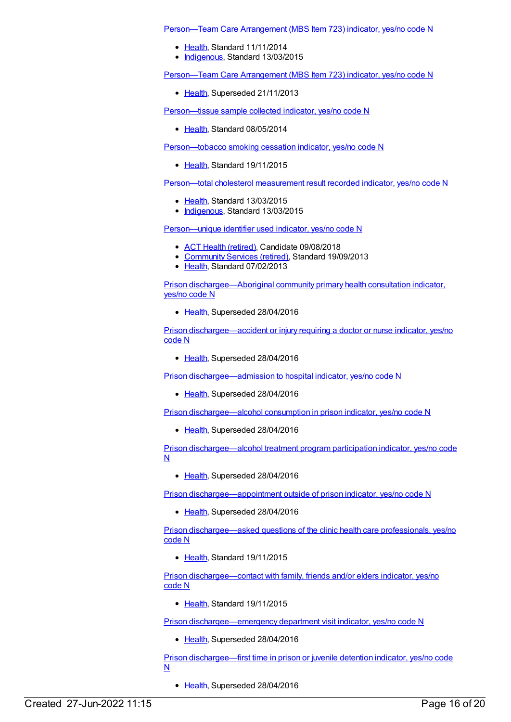Person-Team Care Arrangement (MBS Item 723) indicator, yes/no code N

- [Health](https://meteor.aihw.gov.au/RegistrationAuthority/12), Standard 11/11/2014
- [Indigenous](https://meteor.aihw.gov.au/RegistrationAuthority/6), Standard 13/03/2015

[Person—Team](https://meteor.aihw.gov.au/content/441521) Care Arrangement (MBS Item 723) indicator, yes/no code N

• [Health](https://meteor.aihw.gov.au/RegistrationAuthority/12), Superseded 21/11/2013

[Person—tissue](https://meteor.aihw.gov.au/content/446565) sample collected indicator, yes/no code N

• [Health](https://meteor.aihw.gov.au/RegistrationAuthority/12), Standard 08/05/2014

[Person—tobacco](https://meteor.aihw.gov.au/content/586209) smoking cessation indicator, yes/no code N

[Health](https://meteor.aihw.gov.au/RegistrationAuthority/12), Standard 19/11/2015

[Person—total](https://meteor.aihw.gov.au/content/588774) cholesterol measurement result recorded indicator, yes/no code N

- [Health](https://meteor.aihw.gov.au/RegistrationAuthority/12), Standard 13/03/2015
- [Indigenous](https://meteor.aihw.gov.au/RegistrationAuthority/6), Standard 13/03/2015

[Person—unique](https://meteor.aihw.gov.au/content/493279) identifier used indicator, yes/no code N

- ACT Health [\(retired\)](https://meteor.aihw.gov.au/RegistrationAuthority/9), Candidate 09/08/2018
- [Community](https://meteor.aihw.gov.au/RegistrationAuthority/1) Services (retired), Standard 19/09/2013
- [Health](https://meteor.aihw.gov.au/RegistrationAuthority/12), Standard 07/02/2013

Prison [dischargee—Aboriginal](https://meteor.aihw.gov.au/content/483660) community primary health consultation indicator, yes/no code N

[Health](https://meteor.aihw.gov.au/RegistrationAuthority/12), Superseded 28/04/2016

Prison [dischargee—accident](https://meteor.aihw.gov.au/content/482832) or injury requiring a doctor or nurse indicator, yes/no code N

• [Health](https://meteor.aihw.gov.au/RegistrationAuthority/12), Superseded 28/04/2016

Prison [dischargee—admission](https://meteor.aihw.gov.au/content/483512) to hospital indicator, yes/no code N

• [Health](https://meteor.aihw.gov.au/RegistrationAuthority/12), Superseded 28/04/2016

Prison [dischargee—alcohol](https://meteor.aihw.gov.au/content/483172) consumption in prison indicator, yes/no code N

• [Health](https://meteor.aihw.gov.au/RegistrationAuthority/12), Superseded 28/04/2016

Prison [dischargee—alcohol](https://meteor.aihw.gov.au/content/483223) treatment program participation indicator, yes/no code N

[Health](https://meteor.aihw.gov.au/RegistrationAuthority/12), Superseded 28/04/2016

Prison [dischargee—appointment](https://meteor.aihw.gov.au/content/483469) outside of prison indicator, yes/no code N

• [Health](https://meteor.aihw.gov.au/RegistrationAuthority/12), Superseded 28/04/2016

Prison [dischargee—asked](https://meteor.aihw.gov.au/content/599181) questions of the clinic health care professionals, yes/no code N

Elealth, Standard 19/11/2015

Prison [dischargee—contact](https://meteor.aihw.gov.au/content/581635) with family, friends and/or elders indicator, yes/no code N

[Health](https://meteor.aihw.gov.au/RegistrationAuthority/12), Standard 19/11/2015

Prison [dischargee—emergency](https://meteor.aihw.gov.au/content/483531) department visit indicator, yes/no code N

• [Health](https://meteor.aihw.gov.au/RegistrationAuthority/12), Superseded 28/04/2016

Prison [dischargee—first](https://meteor.aihw.gov.au/content/482605) time in prison or juvenile detention indicator, yes/no code N

• [Health](https://meteor.aihw.gov.au/RegistrationAuthority/12), Superseded 28/04/2016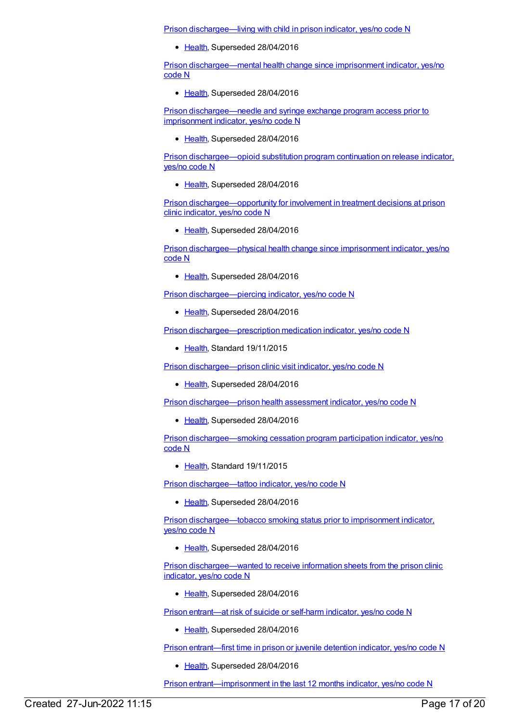Prison [dischargee—living](https://meteor.aihw.gov.au/content/483643) with child in prison indicator, yes/no code N

• [Health](https://meteor.aihw.gov.au/RegistrationAuthority/12), Superseded 28/04/2016

Prison [dischargee—mental](https://meteor.aihw.gov.au/content/483889) health change since imprisonment indicator, yes/no code N

• [Health](https://meteor.aihw.gov.au/RegistrationAuthority/12), Superseded 28/04/2016

Prison [dischargee—needle](https://meteor.aihw.gov.au/content/483055) and syringe exchange program access prior to imprisonment indicator, yes/no code N

• [Health](https://meteor.aihw.gov.au/RegistrationAuthority/12), Superseded 28/04/2016

Prison [dischargee—opioid](https://meteor.aihw.gov.au/content/483044) substitution program continuation on release indicator, yes/no code N

• [Health](https://meteor.aihw.gov.au/RegistrationAuthority/12), Superseded 28/04/2016

Prison [dischargee—opportunity](https://meteor.aihw.gov.au/content/599189) for involvement in treatment decisions at prison clinic indicator, yes/no code N

• [Health](https://meteor.aihw.gov.au/RegistrationAuthority/12), Superseded 28/04/2016

Prison [dischargee—physical](https://meteor.aihw.gov.au/content/483887) health change since imprisonment indicator, yes/no code N

• [Health](https://meteor.aihw.gov.au/RegistrationAuthority/12), Superseded 28/04/2016

Prison [dischargee—piercing](https://meteor.aihw.gov.au/content/482947) indicator, yes/no code N

• [Health](https://meteor.aihw.gov.au/RegistrationAuthority/12), Superseded 28/04/2016

Prison [dischargee—prescription](https://meteor.aihw.gov.au/content/483847) medication indicator, yes/no code N

• [Health](https://meteor.aihw.gov.au/RegistrationAuthority/12), Standard 19/11/2015

Prison [dischargee—prison](https://meteor.aihw.gov.au/content/483294) clinic visit indicator, yes/no code N

• [Health](https://meteor.aihw.gov.au/RegistrationAuthority/12), Superseded 28/04/2016

Prison [dischargee—prison](https://meteor.aihw.gov.au/content/483234) health assessment indicator, yes/no code N

• [Health](https://meteor.aihw.gov.au/RegistrationAuthority/12), Superseded 28/04/2016

Prison [dischargee—smoking](https://meteor.aihw.gov.au/content/483120) cessation program participation indicator, yes/no code N

[Health](https://meteor.aihw.gov.au/RegistrationAuthority/12), Standard 19/11/2015

Prison [dischargee—tattoo](https://meteor.aihw.gov.au/content/482939) indicator, yes/no code N

• [Health](https://meteor.aihw.gov.au/RegistrationAuthority/12), Superseded 28/04/2016

Prison [dischargee—tobacco](https://meteor.aihw.gov.au/content/483077) smoking status prior to imprisonment indicator, yes/no code N

• [Health](https://meteor.aihw.gov.au/RegistrationAuthority/12), Superseded 28/04/2016

Prison [dischargee—wanted](https://meteor.aihw.gov.au/content/598696) to receive information sheets from the prison clinic indicator, yes/no code N

• [Health](https://meteor.aihw.gov.au/RegistrationAuthority/12), Superseded 28/04/2016

Prison [entrant—at](https://meteor.aihw.gov.au/content/412490) risk of suicide or self-harm indicator, yes/no code N

• [Health](https://meteor.aihw.gov.au/RegistrationAuthority/12), Superseded 28/04/2016

Prison [entrant—first](https://meteor.aihw.gov.au/content/415745) time in prison or juvenile detention indicator, yes/no code N

• [Health](https://meteor.aihw.gov.au/RegistrationAuthority/12), Superseded 28/04/2016

Prison [entrant—imprisonment](https://meteor.aihw.gov.au/content/408416) in the last 12 months indicator, yes/no code N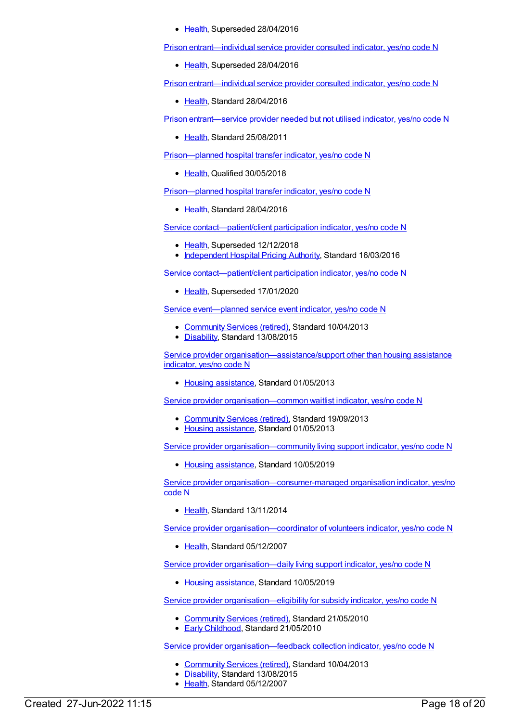• [Health](https://meteor.aihw.gov.au/RegistrationAuthority/12), Superseded 28/04/2016

Prison [entrant—individual](https://meteor.aihw.gov.au/content/402429) service provider consulted indicator, yes/no code N

• [Health](https://meteor.aihw.gov.au/RegistrationAuthority/12), Superseded 28/04/2016

Prison [entrant—individual](https://meteor.aihw.gov.au/content/627051) service provider consulted indicator, yes/no code N

[Health](https://meteor.aihw.gov.au/RegistrationAuthority/12), Standard 28/04/2016

Prison [entrant—service](https://meteor.aihw.gov.au/content/414715) provider needed but not utilised indicator, yes/no code N

• [Health](https://meteor.aihw.gov.au/RegistrationAuthority/12), Standard 25/08/2011

[Prison—planned](https://meteor.aihw.gov.au/content/696760) hospital transfer indicator, yes/no code N

• [Health](https://meteor.aihw.gov.au/RegistrationAuthority/12), Qualified 30/05/2018

[Prison—planned](https://meteor.aihw.gov.au/content/626274) hospital transfer indicator, yes/no code N

[Health](https://meteor.aihw.gov.au/RegistrationAuthority/12), Standard 28/04/2016

Service [contact—patient/client](https://meteor.aihw.gov.au/content/614177) participation indicator, yes/no code N

- [Health](https://meteor.aihw.gov.au/RegistrationAuthority/12), Superseded 12/12/2018
- [Independent](https://meteor.aihw.gov.au/RegistrationAuthority/3) Hospital Pricing Authority, Standard 16/03/2016

Service [contact—patient/client](https://meteor.aihw.gov.au/content/702532) participation indicator, yes/no code N

• [Health](https://meteor.aihw.gov.au/RegistrationAuthority/12), Superseded 17/01/2020

Service [event—planned](https://meteor.aihw.gov.au/content/498847) service event indicator, yes/no code N

- [Community](https://meteor.aihw.gov.au/RegistrationAuthority/1) Services (retired), Standard 10/04/2013
- [Disability](https://meteor.aihw.gov.au/RegistrationAuthority/16), Standard 13/08/2015

Service provider [organisation—assistance/support](https://meteor.aihw.gov.au/content/463084) other than housing assistance indicator, yes/no code N

• Housing [assistance](https://meteor.aihw.gov.au/RegistrationAuthority/11), Standard 01/05/2013

Service provider [organisation—common](https://meteor.aihw.gov.au/content/463305) waitlist indicator, yes/no code N

- [Community](https://meteor.aihw.gov.au/RegistrationAuthority/1) Services (retired), Standard 19/09/2013
- Housing [assistance](https://meteor.aihw.gov.au/RegistrationAuthority/11), Standard 01/05/2013

Service provider [organisation—community](https://meteor.aihw.gov.au/content/713953) living support indicator, yes/no code N

• Housing [assistance](https://meteor.aihw.gov.au/RegistrationAuthority/11), Standard 10/05/2019

Service provider [organisation—consumer-managed](https://meteor.aihw.gov.au/content/480963) organisation indicator, yes/no code N

• [Health](https://meteor.aihw.gov.au/RegistrationAuthority/12), Standard 13/11/2014

Service provider [organisation—coordinator](https://meteor.aihw.gov.au/content/352862) of volunteers indicator, yes/no code N

[Health](https://meteor.aihw.gov.au/RegistrationAuthority/12), Standard 05/12/2007

Service provider [organisation—daily](https://meteor.aihw.gov.au/content/713924) living support indicator, yes/no code N

• Housing [assistance](https://meteor.aihw.gov.au/RegistrationAuthority/11), Standard 10/05/2019

Service provider [organisation—eligibility](https://meteor.aihw.gov.au/content/395878) for subsidy indicator, yes/no code N

- [Community](https://meteor.aihw.gov.au/RegistrationAuthority/1) Services (retired), Standard 21/05/2010
- **Early [Childhood](https://meteor.aihw.gov.au/RegistrationAuthority/13), Standard 21/05/2010**

Service provider organisation-feedback collection indicator, yes/no code N

- [Community](https://meteor.aihw.gov.au/RegistrationAuthority/1) Services (retired), Standard 10/04/2013
- [Disability](https://meteor.aihw.gov.au/RegistrationAuthority/16), Standard 13/08/2015
- [Health](https://meteor.aihw.gov.au/RegistrationAuthority/12), Standard 05/12/2007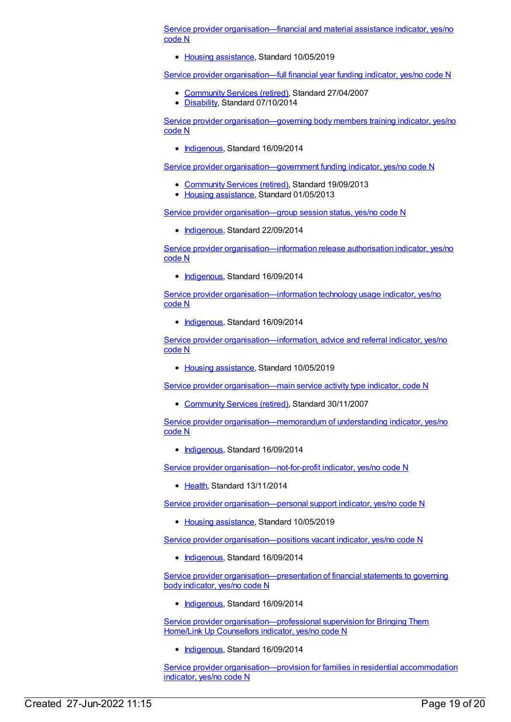Service provider [organisation—financial](https://meteor.aihw.gov.au/content/713982) and material assistance indicator, yes/no code N

• Housing [assistance](https://meteor.aihw.gov.au/RegistrationAuthority/11), Standard 10/05/2019

Service provider [organisation—full](https://meteor.aihw.gov.au/content/322176) financial year funding indicator, yes/no code N

- [Community](https://meteor.aihw.gov.au/RegistrationAuthority/1) Services (retired), Standard 27/04/2007
- [Disability](https://meteor.aihw.gov.au/RegistrationAuthority/16), Standard 07/10/2014

Service provider [organisation—governing](https://meteor.aihw.gov.au/content/564393) body members training indicator, yes/no code N

• [Indigenous](https://meteor.aihw.gov.au/RegistrationAuthority/6), Standard 16/09/2014

Service provider organisation-government funding indicator, yes/no code N

- [Community](https://meteor.aihw.gov.au/RegistrationAuthority/1) Services (retired), Standard 19/09/2013
- Housing [assistance](https://meteor.aihw.gov.au/RegistrationAuthority/11), Standard 01/05/2013

Service provider [organisation—group](https://meteor.aihw.gov.au/content/569080) session status, yes/no code N

• [Indigenous](https://meteor.aihw.gov.au/RegistrationAuthority/6), Standard 22/09/2014

Service provider [organisation—information](https://meteor.aihw.gov.au/content/567559) release authorisation indicator, yes/no code N

[Indigenous](https://meteor.aihw.gov.au/RegistrationAuthority/6), Standard 16/09/2014

Service provider [organisation—information](https://meteor.aihw.gov.au/content/563160) technology usage indicator, yes/no code N

• [Indigenous](https://meteor.aihw.gov.au/RegistrationAuthority/6), Standard 16/09/2014

Service provider [organisation—information,](https://meteor.aihw.gov.au/content/713999) advice and referral indicator, yes/no code N

• Housing [assistance](https://meteor.aihw.gov.au/RegistrationAuthority/11), Standard 10/05/2019

Service provider [organisation—main](https://meteor.aihw.gov.au/content/355174) service activity type indicator, code N

• [Community](https://meteor.aihw.gov.au/RegistrationAuthority/1) Services (retired), Standard 30/11/2007

Service provider [organisation—memorandum](https://meteor.aihw.gov.au/content/578304) of understanding indicator, yes/no code N

• [Indigenous](https://meteor.aihw.gov.au/RegistrationAuthority/6), Standard 16/09/2014

Service provider organisation-not-for-profit indicator, yes/no code N

• [Health](https://meteor.aihw.gov.au/RegistrationAuthority/12), Standard 13/11/2014

Service provider [organisation—personal](https://meteor.aihw.gov.au/content/713939) support indicator, yes/no code N

• Housing [assistance](https://meteor.aihw.gov.au/RegistrationAuthority/11), Standard 10/05/2019

Service provider organisation-positions vacant indicator, yes/no code N

[Indigenous](https://meteor.aihw.gov.au/RegistrationAuthority/6), Standard 16/09/2014

Service provider [organisation—presentation](https://meteor.aihw.gov.au/content/564254) of financial statements to governing body indicator, yes/no code N

• [Indigenous](https://meteor.aihw.gov.au/RegistrationAuthority/6), Standard 16/09/2014

Service provider organisation-professional supervision for Bringing Them Home/Link Up Counsellors indicator, yes/no code N

• [Indigenous](https://meteor.aihw.gov.au/RegistrationAuthority/6), Standard 16/09/2014

Service provider [organisation—provision](https://meteor.aihw.gov.au/content/576123) for families in residential accommodation indicator, yes/no code N